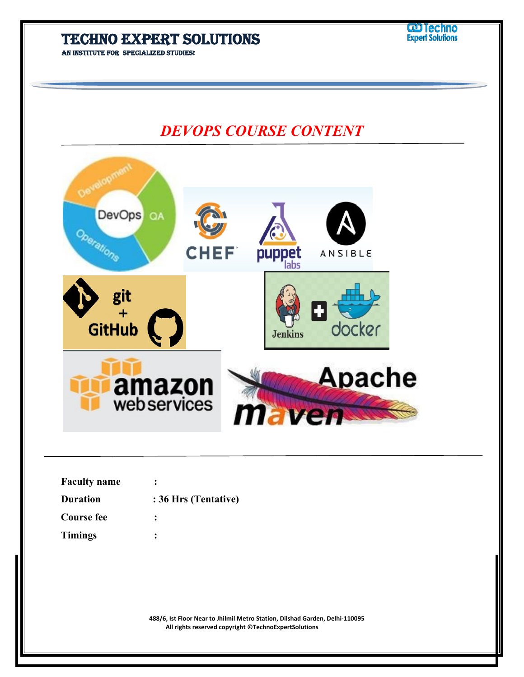**An institute for specialized studies!**

# *DEVOPS COURSE CONTENT*

| <b>Oc</b><br>DevOps  | QA                           |                      |                |               |  |
|----------------------|------------------------------|----------------------|----------------|---------------|--|
|                      |                              | <b>CHEF</b>          | puppet<br>labs | ANSIBLE       |  |
| git<br><b>GitHub</b> |                              |                      | <b>Jenkins</b> | docker        |  |
|                      |                              |                      |                |               |  |
|                      | <b>amazon</b><br>webservices |                      | <b>Maven</b>   | <b>Apache</b> |  |
| <b>Faculty name</b>  |                              |                      |                |               |  |
| <b>Duration</b>      |                              | : 36 Hrs (Tentative) |                |               |  |
| <b>Course fee</b>    |                              |                      |                |               |  |
| <b>Timings</b>       |                              |                      |                |               |  |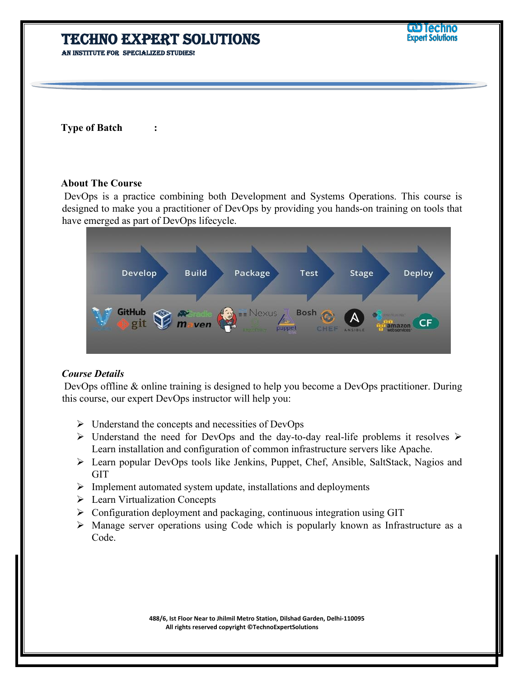**Type of Batch :** 

#### **About The Course**

 DevOps is a practice combining both Development and Systems Operations. This course is designed to make you a practitioner of DevOps by providing you hands-on training on tools that have emerged as part of DevOps lifecycle.



#### *Course Details*

 DevOps offline & online training is designed to help you become a DevOps practitioner. During this course, our expert DevOps instructor will help you:

- $\triangleright$  Understand the concepts and necessities of DevOps
- $\triangleright$  Understand the need for DevOps and the day-to-day real-life problems it resolves  $\triangleright$ Learn installation and configuration of common infrastructure servers like Apache.
- Learn popular DevOps tools like Jenkins, Puppet, Chef, Ansible, SaltStack, Nagios and GIT
- $\triangleright$  Implement automated system update, installations and deployments
- **Exam Virtualization Concepts**
- $\triangleright$  Configuration deployment and packaging, continuous integration using GIT
- Manage server operations using Code which is popularly known as Infrastructure as a Code.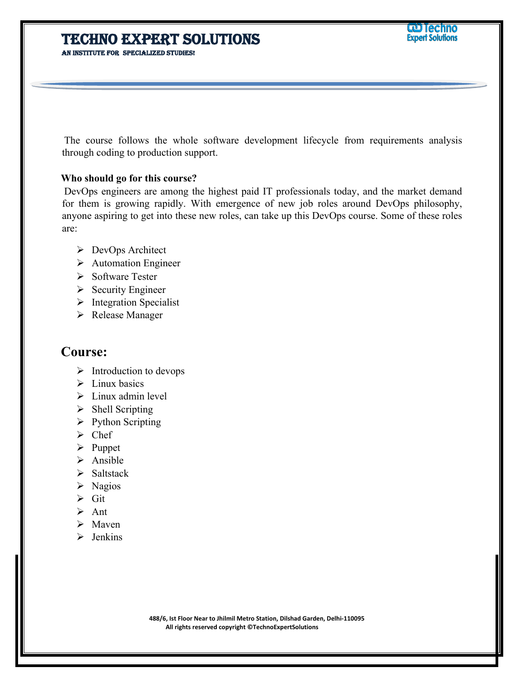**An institute for specialized studies!**

 The course follows the whole software development lifecycle from requirements analysis through coding to production support.

#### **Who should go for this course?**

 DevOps engineers are among the highest paid IT professionals today, and the market demand for them is growing rapidly. With emergence of new job roles around DevOps philosophy, anyone aspiring to get into these new roles, can take up this DevOps course. Some of these roles are:

- DevOps Architect
- Automation Engineer
- $\triangleright$  Software Tester
- $\triangleright$  Security Engineer
- $\triangleright$  Integration Specialist
- Release Manager

### **Course:**

- $\triangleright$  Introduction to devops
- $\sum$  Linux basics
- $\triangleright$  Linux admin level
- $\triangleright$  Shell Scripting
- $\triangleright$  Python Scripting
- $\triangleright$  Chef
- $\triangleright$  Puppet
- $\triangleright$  Ansible
- $\triangleright$  Saltstack
- $\triangleright$  Nagios
- $\triangleright$  Git
- $\triangleright$  Ant
- $\triangleright$  Maven
- $\triangleright$  Jenkins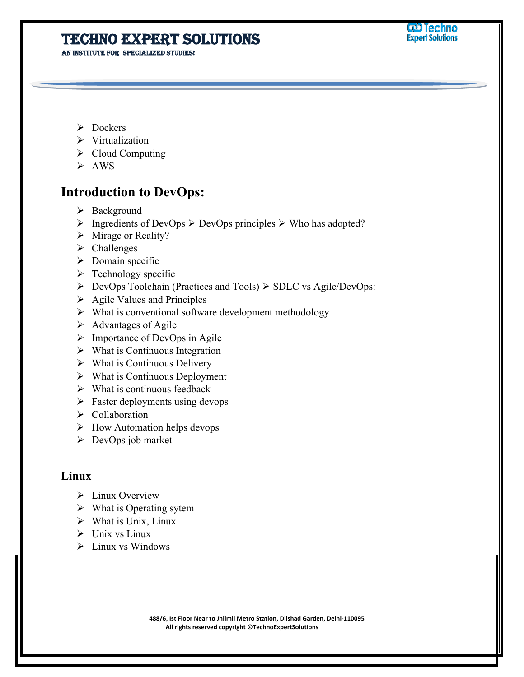**An institute for specialized studies!**

- $\triangleright$  Dockers
- Virtualization
- $\triangleright$  Cloud Computing
- $\triangleright$  AWS

### **Introduction to DevOps:**

- $\triangleright$  Background
- $\triangleright$  Ingredients of DevOps  $\triangleright$  DevOps principles  $\triangleright$  Who has adopted?
- $\triangleright$  Mirage or Reality?
- > Challenges
- $\triangleright$  Domain specific
- $\triangleright$  Technology specific
- $\triangleright$  DevOps Toolchain (Practices and Tools)  $\triangleright$  SDLC vs Agile/DevOps:
- $\triangleright$  Agile Values and Principles
- $\triangleright$  What is conventional software development methodology
- $\triangleright$  Advantages of Agile
- $\triangleright$  Importance of DevOps in Agile
- $\triangleright$  What is Continuous Integration
- $\triangleright$  What is Continuous Delivery
- $\triangleright$  What is Continuous Deployment
- $\triangleright$  What is continuous feedback
- $\triangleright$  Faster deployments using devops
- Collaboration
- $\triangleright$  How Automation helps devops
- $\triangleright$  DevOps job market

### **Linux**

- $\triangleright$  Linux Overview
- $\triangleright$  What is Operating sytem
- $\triangleright$  What is Unix, Linux
- $\triangleright$  Unix vs Linux
- $\triangleright$  Linux vs Windows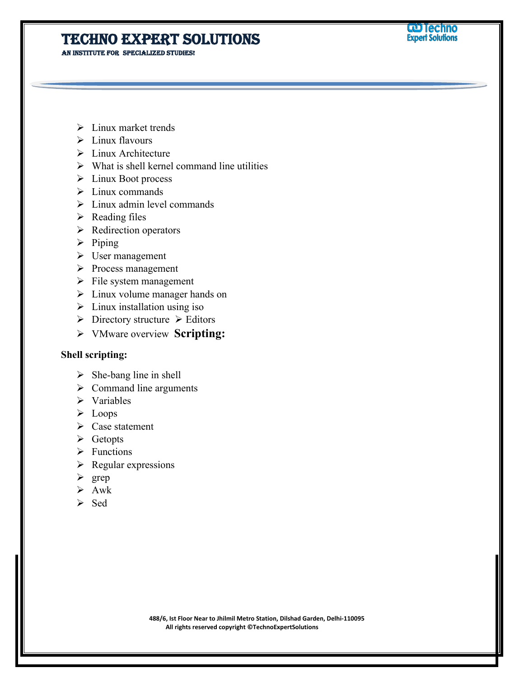**An institute for specialized studies!**

- $\triangleright$  Linux market trends
- $\triangleright$  Linux flavours
- $\triangleright$  Linux Architecture
- $\triangleright$  What is shell kernel command line utilities
- $\triangleright$  Linux Boot process
- $\sum$  Linux commands
- $\triangleright$  Linux admin level commands
- $\triangleright$  Reading files
- $\triangleright$  Redirection operators
- $\triangleright$  Piping
- User management
- $\triangleright$  Process management
- $\triangleright$  File system management
- $\triangleright$  Linux volume manager hands on
- $\triangleright$  Linux installation using iso
- $\triangleright$  Directory structure  $\triangleright$  Editors
- VMware overview **Scripting:**

### **Shell scripting:**

- $\triangleright$  She-bang line in shell
- $\triangleright$  Command line arguments
- $\triangleright$  Variables
- $\triangleright$  Loops
- $\triangleright$  Case statement
- $\triangleright$  Getopts
- $\triangleright$  Functions
- $\triangleright$  Regular expressions
- $\triangleright$  grep
- $\triangleright$  Awk
- $\triangleright$  Sed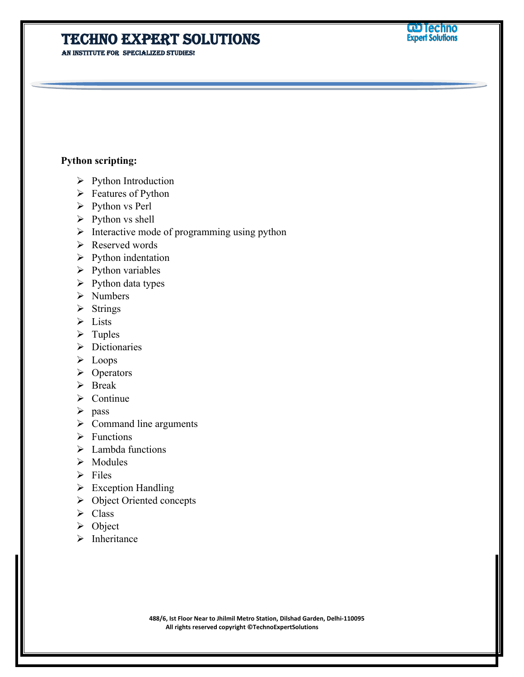**An institute for specialized studies!**

#### **Python scripting:**

- $\triangleright$  Python Introduction
- $\triangleright$  Features of Python
- $\triangleright$  Python vs Perl
- $\triangleright$  Python vs shell
- $\triangleright$  Interactive mode of programming using python
- Reserved words
- $\triangleright$  Python indentation
- $\triangleright$  Python variables
- $\triangleright$  Python data types
- > Numbers
- $\triangleright$  Strings
- > Lists
- $\triangleright$  Tuples
- Dictionaries
- $\triangleright$  Loops
- $\triangleright$  Operators
- > Break
- $\triangleright$  Continue
- $\triangleright$  pass
- $\triangleright$  Command line arguments
- $\triangleright$  Functions
- $\triangleright$  Lambda functions
- $\triangleright$  Modules
- $\triangleright$  Files
- $\triangleright$  Exception Handling
- Object Oriented concepts
- $\triangleright$  Class
- $\triangleright$  Object
- $\triangleright$  Inheritance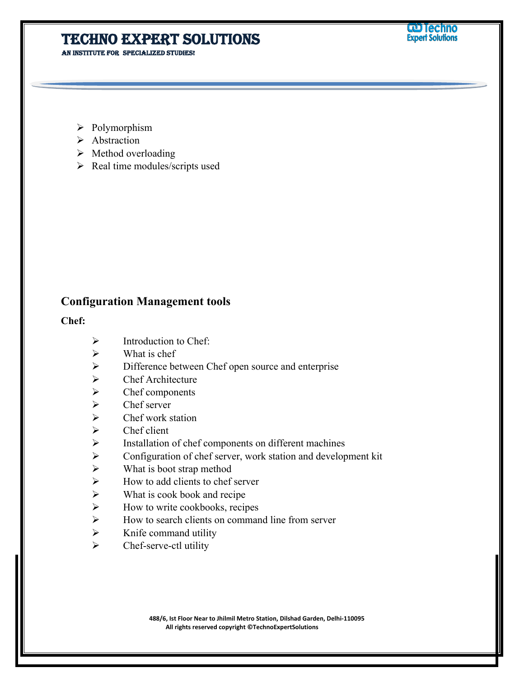**An institute for specialized studies!**

- Polymorphism
- > Abstraction
- $\triangleright$  Method overloading
- $\triangleright$  Real time modules/scripts used

### **Configuration Management tools**

#### **Chef:**

- $\triangleright$  Introduction to Chef:
- $\triangleright$  What is chef
- $\triangleright$  Difference between Chef open source and enterprise
- $\triangleright$  Chef Architecture
- $\triangleright$  Chef components<br> $\triangleright$  Chef server
- Chef server
- $\triangleright$  Chef work station<br> $\triangleright$  Chef client
- Chef client
- $\triangleright$  Installation of chef components on different machines
- Configuration of chef server, work station and development kit
- $\triangleright$  What is boot strap method
- $\triangleright$  How to add clients to chef server
- $\triangleright$  What is cook book and recipe
- $\triangleright$  How to write cookbooks, recipes
- $\triangleright$  How to search clients on command line from server
- $\triangleright$  Knife command utility
- $\triangleright$  Chef-serve-ctl utility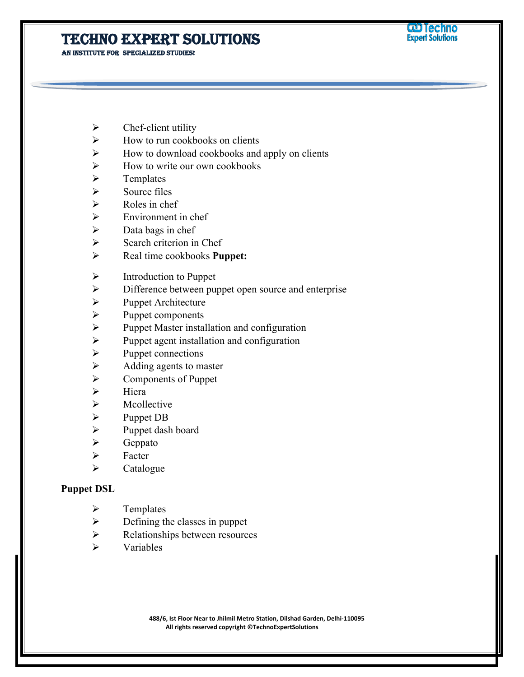**An institute for specialized studies!**

- $\triangleright$  Chef-client utility
- $\triangleright$  How to run cookbooks on clients
- $\triangleright$  How to download cookbooks and apply on clients
- $\triangleright$  How to write our own cookbooks
- $\triangleright$  Templates
- $\triangleright$  Source files
- $\triangleright$  Roles in chef
- $\triangleright$  Environment in chef
- $\triangleright$  Data bags in chef
- $\triangleright$  Search criterion in Chef
- Real time cookbooks **Puppet:**
- $\triangleright$  Introduction to Puppet
- $\triangleright$  Difference between puppet open source and enterprise
- > Puppet Architecture
- $\triangleright$  Puppet components
- $\triangleright$  Puppet Master installation and configuration<br> $\triangleright$  Puppet agent installation and configuration
- Puppet agent installation and configuration
- $\triangleright$  Puppet connections
- $\triangleright$  Adding agents to master<br> $\triangleright$  Components of Puppet
- Components of Puppet
- $\triangleright$  Hiera
- > Mcollective
- $\triangleright$  Puppet DB
- $\triangleright$  Puppet dash board
- $\triangleright$  Geppato
- $\triangleright$  Facter
- $\triangleright$  Catalogue

#### **Puppet DSL**

- $\triangleright$  Templates
- $\triangleright$  Defining the classes in puppet
- $\triangleright$  Relationships between resources
- $\triangleright$  Variables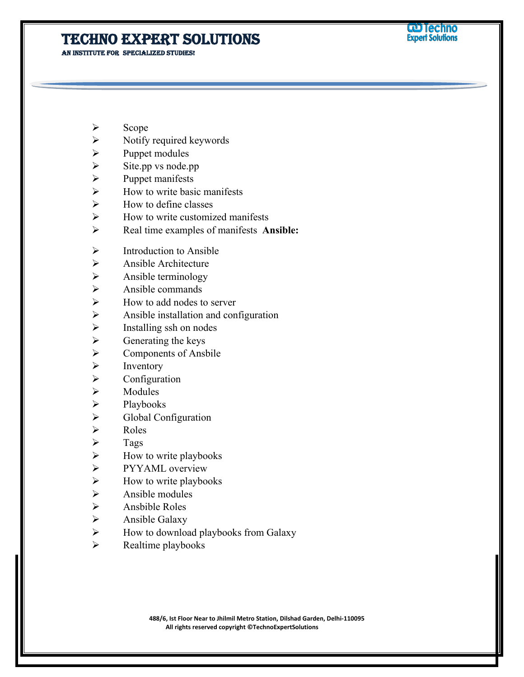**An institute for specialized studies!**

- Scope
- $\triangleright$  Notify required keywords
- $\triangleright$  Puppet modules
- $\triangleright$  Site.pp vs node.pp<br>  $\triangleright$  Puppet manifests
- Puppet manifests
- $\triangleright$  How to write basic manifests
- $\triangleright$  How to define classes
- $\triangleright$  How to write customized manifests
- Real time examples of manifests **Ansible:**
- $\triangleright$  Introduction to Ansible
- $\triangleright$  Ansible Architecture
- $\triangleright$  Ansible terminology
- $\triangleright$  Ansible commands
- $\triangleright$  How to add nodes to server
- $\triangleright$  Ansible installation and configuration
- $\triangleright$  Installing ssh on nodes<br> $\triangleright$  Generating the keys
- Generating the keys
- $\triangleright$  Components of Ansbile
- $\triangleright$  Inventory<br> $\triangleright$  Configura
- Configuration
- > Modules
- $\triangleright$  Playbooks
- $\triangleright$  Global Configuration
- $\triangleright$  Roles
- $\triangleright$  Tags
- $\triangleright$  How to write playbooks
- > PYYAML overview
- $\triangleright$  How to write playbooks
- $\triangleright$  Ansible modules
- $\triangleright$  Ansbible Roles
- $\triangleright$  Ansible Galaxy
- $\triangleright$  How to download playbooks from Galaxy
- $\triangleright$  Realtime playbooks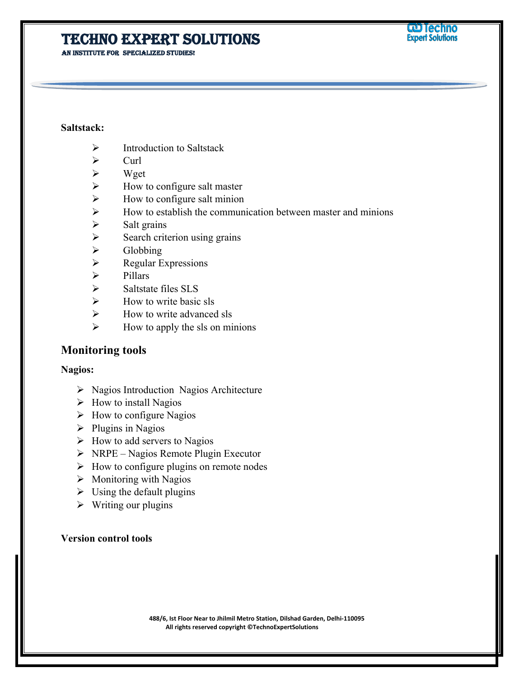**An institute for specialized studies!**

#### **Saltstack:**

- $\triangleright$  Introduction to Saltstack
- $\triangleright$  Curl
- $\triangleright$  Wget
- $\triangleright$  How to configure salt master
- $\triangleright$  How to configure salt minion
- $\triangleright$  How to establish the communication between master and minions
- $\triangleright$  Salt grains
- $\triangleright$  Search criterion using grains
- $\triangleright$  Globbing
- $\triangleright$  Regular Expressions
- $\triangleright$  Pillars
- $\triangleright$  Saltstate files SLS
- $\triangleright$  How to write basic sls
- $\triangleright$  How to write advanced sls
- $\triangleright$  How to apply the sls on minions

### **Monitoring tools**

#### **Nagios:**

- $\triangleright$  Nagios Introduction Nagios Architecture
- $\triangleright$  How to install Nagios
- $\triangleright$  How to configure Nagios
- $\triangleright$  Plugins in Nagios
- $\triangleright$  How to add servers to Nagios
- $\triangleright$  NRPE Nagios Remote Plugin Executor
- $\triangleright$  How to configure plugins on remote nodes
- $\triangleright$  Monitoring with Nagios
- $\triangleright$  Using the default plugins
- $\triangleright$  Writing our plugins

#### **Version control tools**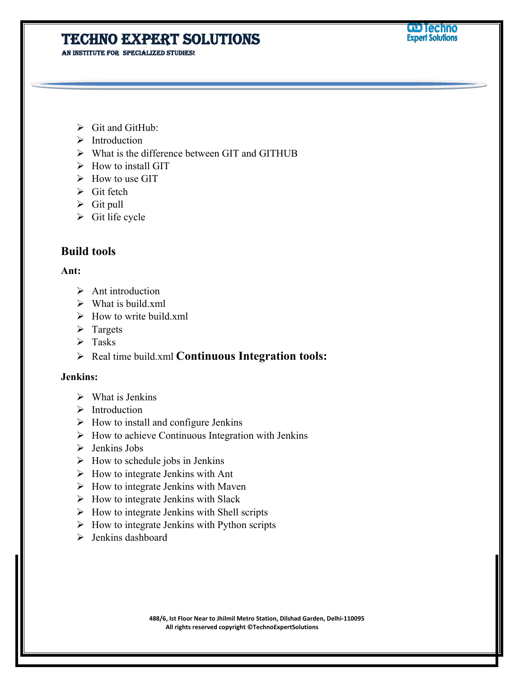**An institute for specialized studies!**

- $\triangleright$  Git and GitHub:
- > Introduction
- $\triangleright$  What is the difference between GIT and GITHUB
- $\triangleright$  How to install GIT
- $\triangleright$  How to use GIT
- $\triangleright$  Git fetch
- $\triangleright$  Git pull
- $\triangleright$  Git life cycle

### **Build tools**

#### **Ant:**

- $\triangleright$  Ant introduction
- $\triangleright$  What is build.xml
- $\triangleright$  How to write build.xml
- $\triangleright$  Targets
- $\triangleright$  Tasks
- Real time build.xml **Continuous Integration tools:**

#### **Jenkins:**

- $\triangleright$  What is Jenkins
- $\triangleright$  Introduction
- $\triangleright$  How to install and configure Jenkins
- $\triangleright$  How to achieve Continuous Integration with Jenkins
- $\triangleright$  Jenkins Jobs
- $\triangleright$  How to schedule jobs in Jenkins
- $\triangleright$  How to integrate Jenkins with Ant
- $\triangleright$  How to integrate Jenkins with Maven
- $\triangleright$  How to integrate Jenkins with Slack
- $\triangleright$  How to integrate Jenkins with Shell scripts
- $\triangleright$  How to integrate Jenkins with Python scripts
- $\triangleright$  Jenkins dashboard